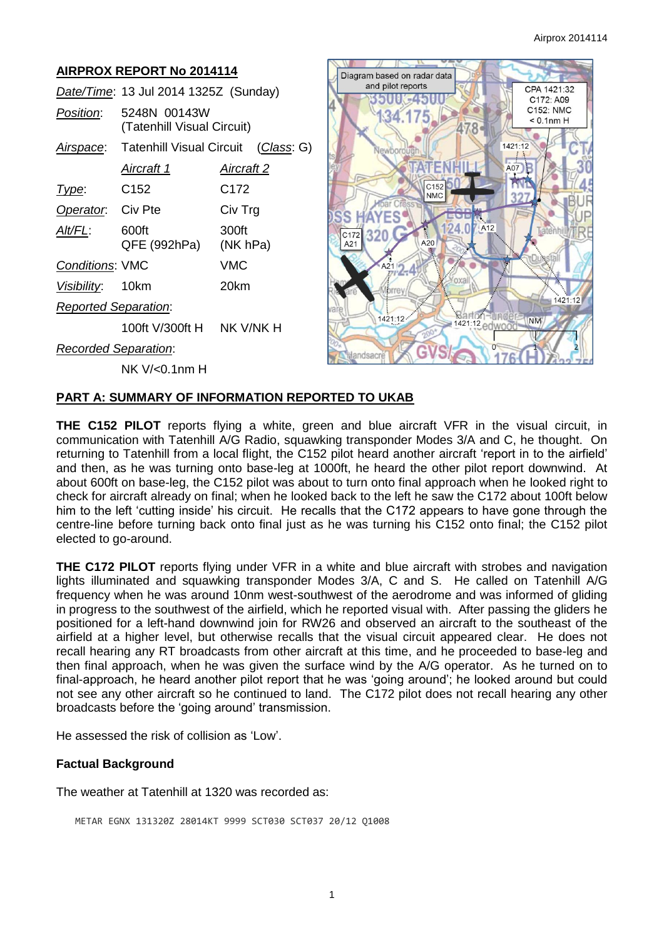#### **AIRPROX REPORT No 2014114** Diagram based on radar data and pilot reports CPA 1421:32 *Date/Time*: 13 Jul 2014 1325Z (Sunday) E451 C172: A09 C152: NMC *Position*: 5248N 00143W  $< 0.1$ nm H (Tatenhill Visual Circuit)  $\frac{8}{3}$ *Airspace*: Tatenhill Visual Circuit (*Class*: G)  $1421:12$ *Aircraft 1 Aircraft 2* A07 C<sub>152</sub> *Type*: C152 C172 **NMC Operator:** Civ Pte Civ Trg AYES S 124.0 A<sub>12</sub> *Alt/FL*: 600ft 300ft 320 C172 QFE (992hPa) (NK hPa) A21 *Conditions*: VMC VMC *Visibility*: 10km 20km 1421:12 *Reported Separation*: 1421:12 1421:12 edwo **NM** 100ft V/300ft H NK V/NK H *Recorded Separation*:  $\overline{0}$ NK V/<0.1nm H

# **PART A: SUMMARY OF INFORMATION REPORTED TO UKAB**

**THE C152 PILOT** reports flying a white, green and blue aircraft VFR in the visual circuit, in communication with Tatenhill A/G Radio, squawking transponder Modes 3/A and C, he thought. On returning to Tatenhill from a local flight, the C152 pilot heard another aircraft 'report in to the airfield' and then, as he was turning onto base-leg at 1000ft, he heard the other pilot report downwind. At about 600ft on base-leg, the C152 pilot was about to turn onto final approach when he looked right to check for aircraft already on final; when he looked back to the left he saw the C172 about 100ft below him to the left 'cutting inside' his circuit. He recalls that the C172 appears to have gone through the centre-line before turning back onto final just as he was turning his C152 onto final; the C152 pilot elected to go-around.

**THE C172 PILOT** reports flying under VFR in a white and blue aircraft with strobes and navigation lights illuminated and squawking transponder Modes 3/A, C and S. He called on Tatenhill A/G frequency when he was around 10nm west-southwest of the aerodrome and was informed of gliding in progress to the southwest of the airfield, which he reported visual with. After passing the gliders he positioned for a left-hand downwind join for RW26 and observed an aircraft to the southeast of the airfield at a higher level, but otherwise recalls that the visual circuit appeared clear. He does not recall hearing any RT broadcasts from other aircraft at this time, and he proceeded to base-leg and then final approach, when he was given the surface wind by the A/G operator. As he turned on to final-approach, he heard another pilot report that he was 'going around'; he looked around but could not see any other aircraft so he continued to land. The C172 pilot does not recall hearing any other broadcasts before the 'going around' transmission.

He assessed the risk of collision as 'Low'.

#### **Factual Background**

The weather at Tatenhill at 1320 was recorded as:

METAR EGNX 131320Z 28014KT 9999 SCT030 SCT037 20/12 Q1008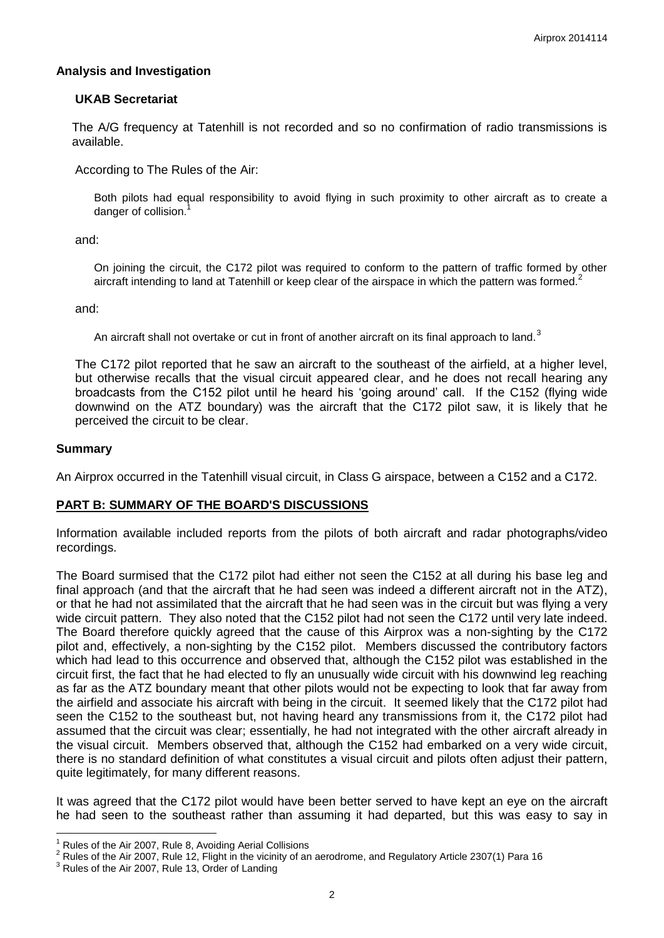## **Analysis and Investigation**

## **UKAB Secretariat**

The A/G frequency at Tatenhill is not recorded and so no confirmation of radio transmissions is available.

According to The Rules of the Air:

Both pilots had equal responsibility to avoid flying in such proximity to other aircraft as to create a danger of collision.<sup>1</sup>

and:

On joining the circuit, the C172 pilot was required to conform to the pattern of traffic formed by other aircraft intending to land at Tatenhill or keep clear of the airspace in which the pattern was formed.<sup>2</sup>

and:

An aircraft shall not overtake or cut in front of another aircraft on its final approach to land.<sup>3</sup>

The C172 pilot reported that he saw an aircraft to the southeast of the airfield, at a higher level, but otherwise recalls that the visual circuit appeared clear, and he does not recall hearing any broadcasts from the C152 pilot until he heard his 'going around' call. If the C152 (flying wide downwind on the ATZ boundary) was the aircraft that the C172 pilot saw, it is likely that he perceived the circuit to be clear.

## **Summary**

 $\overline{a}$ 

An Airprox occurred in the Tatenhill visual circuit, in Class G airspace, between a C152 and a C172.

## **PART B: SUMMARY OF THE BOARD'S DISCUSSIONS**

Information available included reports from the pilots of both aircraft and radar photographs/video recordings.

The Board surmised that the C172 pilot had either not seen the C152 at all during his base leg and final approach (and that the aircraft that he had seen was indeed a different aircraft not in the ATZ), or that he had not assimilated that the aircraft that he had seen was in the circuit but was flying a very wide circuit pattern. They also noted that the C152 pilot had not seen the C172 until very late indeed. The Board therefore quickly agreed that the cause of this Airprox was a non-sighting by the C172 pilot and, effectively, a non-sighting by the C152 pilot. Members discussed the contributory factors which had lead to this occurrence and observed that, although the C152 pilot was established in the circuit first, the fact that he had elected to fly an unusually wide circuit with his downwind leg reaching as far as the ATZ boundary meant that other pilots would not be expecting to look that far away from the airfield and associate his aircraft with being in the circuit. It seemed likely that the C172 pilot had seen the C152 to the southeast but, not having heard any transmissions from it, the C172 pilot had assumed that the circuit was clear; essentially, he had not integrated with the other aircraft already in the visual circuit. Members observed that, although the C152 had embarked on a very wide circuit, there is no standard definition of what constitutes a visual circuit and pilots often adjust their pattern, quite legitimately, for many different reasons.

It was agreed that the C172 pilot would have been better served to have kept an eye on the aircraft he had seen to the southeast rather than assuming it had departed, but this was easy to say in

<sup>1</sup> Rules of the Air 2007, Rule 8, Avoiding Aerial Collisions

<sup>&</sup>lt;sup>2</sup> Rules of the Air 2007, Rule 12, Flight in the vicinity of an aerodrome, and Regulatory Article 2307(1) Para 16

 $3$  Rules of the Air 2007, Rule 13, Order of Landing